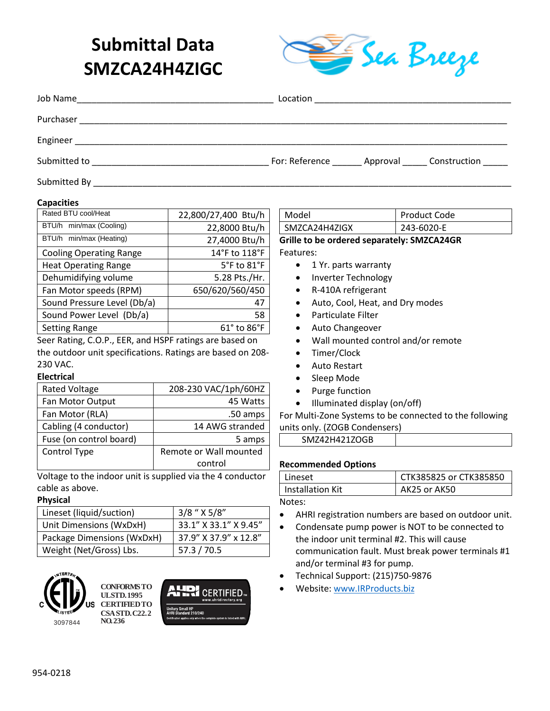# **Submittal Data SMZCA24H4ZIGC**



| Job Name<br><u> 1990 - Johann John Stone, mars eta biztanleria (h. 1900).</u>                                                        |                                                            |
|--------------------------------------------------------------------------------------------------------------------------------------|------------------------------------------------------------|
| Purchaser                                                                                                                            |                                                            |
|                                                                                                                                      |                                                            |
| Submitted to<br><u> 2000 - Jan Barbara Barbara, manazarta da kasas da shekara 1992. A shekara 1992 a shekara 1993 a shekara 1993</u> | For: Reference _______ Approval ______ Construction ______ |
| Submitted By                                                                                                                         |                                                            |

#### **Capacities**

| Rated BTU cool/Heat            | 22,800/27,400 Btu/h            |  |
|--------------------------------|--------------------------------|--|
| BTU/h min/max (Cooling)        | 22,8000 Btu/h                  |  |
| BTU/h min/max (Heating)        | 27,4000 Btu/h                  |  |
| <b>Cooling Operating Range</b> | 14°F to 118°F                  |  |
| <b>Heat Operating Range</b>    | 5°F to 81°F                    |  |
| Dehumidifying volume           | 5.28 Pts./Hr.                  |  |
| Fan Motor speeds (RPM)         | 650/620/560/450                |  |
| Sound Pressure Level (Db/a)    | 47                             |  |
| Sound Power Level (Db/a)       | 58                             |  |
| <b>Setting Range</b>           | $61^{\circ}$ to $86^{\circ}$ F |  |
|                                |                                |  |

Seer Rating, C.O.P., EER, and HSPF ratings are based on the outdoor unit specifications. Ratings are based on 208- 230 VAC.

### **Electrical**

| <b>Rated Voltage</b>    | 208-230 VAC/1ph/60HZ   |
|-------------------------|------------------------|
| Fan Motor Output        | 45 Watts               |
| Fan Motor (RLA)         | .50 amps               |
| Cabling (4 conductor)   | 14 AWG stranded        |
| Fuse (on control board) | 5 amps                 |
| Control Type            | Remote or Wall mounted |
|                         | control                |

Voltage to the indoor unit is supplied via the 4 conductor cable as above.

#### **Physical**

| Lineset (liquid/suction)   | 3/8 " X 5/8"          |
|----------------------------|-----------------------|
| Unit Dimensions (WxDxH)    | 33.1" X 33.1" X 9.45" |
| Package Dimensions (WxDxH) | 37.9" X 37.9" x 12.8" |
| Weight (Net/Gross) Lbs.    | 57.3 / 70.5           |



**CONFORMS TO UL STD. 1995 CERTIFIED TO CSA STD. C22.2 NO. 236**



Model Product Code SMZCA24H4ZIGX | 243-6020-E **Grille to be ordered separately: SMZCA24GR**

Features:

- 1 Yr. parts warranty
- Inverter Technology
- R-410A refrigerant
- Auto, Cool, Heat, and Dry modes
- Particulate Filter
- Auto Changeover
- Wall mounted control and/or remote
- Timer/Clock
- Auto Restart
- Sleep Mode
- Purge function
- Illuminated display (on/off)

For Multi-Zone Systems to be connected to the following units only. (ZOGB Condensers)

| SMZ42H421ZOGB |  |
|---------------|--|

#### **Recommended Options**

| Lineset          | CTK385825 or CTK385850 |
|------------------|------------------------|
| Installation Kit | AK25 or AK50           |
|                  |                        |

Notes:

- AHRI registration numbers are based on outdoor unit.
- Condensate pump power is NOT to be connected to the indoor unit terminal #2. This will cause communication fault. Must break power terminals #1 and/or terminal #3 for pump.
- Technical Support: (215)750-9876
- Website[: www.IRProducts.biz](http://www.irproducts.biz/)